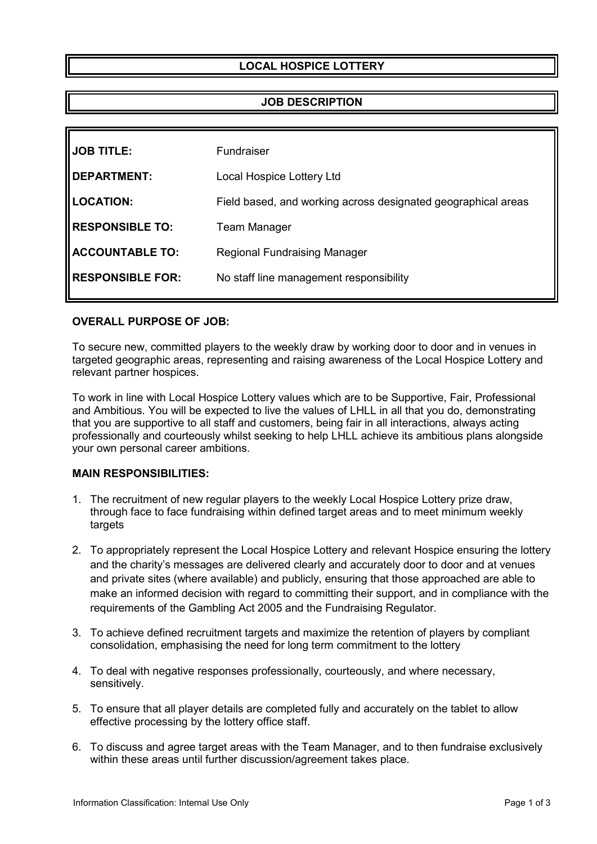# **LOCAL HOSPICE LOTTERY**

## **JOB DESCRIPTION**

| <b>JOB TITLE:</b>       | Fundraiser                                                    |
|-------------------------|---------------------------------------------------------------|
| <b>IDEPARTMENT:</b>     | Local Hospice Lottery Ltd                                     |
| <b>LOCATION:</b>        | Field based, and working across designated geographical areas |
| <b>RESPONSIBLE TO:</b>  | <b>Team Manager</b>                                           |
| <b>ACCOUNTABLE TO:</b>  | <b>Regional Fundraising Manager</b>                           |
| <b>RESPONSIBLE FOR:</b> | No staff line management responsibility                       |
|                         |                                                               |

## **OVERALL PURPOSE OF JOB:**

To secure new, committed players to the weekly draw by working door to door and in venues in targeted geographic areas, representing and raising awareness of the Local Hospice Lottery and relevant partner hospices.

To work in line with Local Hospice Lottery values which are to be Supportive, Fair, Professional and Ambitious. You will be expected to live the values of LHLL in all that you do, demonstrating that you are supportive to all staff and customers, being fair in all interactions, always acting professionally and courteously whilst seeking to help LHLL achieve its ambitious plans alongside your own personal career ambitions.

### **MAIN RESPONSIBILITIES:**

- 1. The recruitment of new regular players to the weekly Local Hospice Lottery prize draw, through face to face fundraising within defined target areas and to meet minimum weekly targets
- 2. To appropriately represent the Local Hospice Lottery and relevant Hospice ensuring the lottery and the charity's messages are delivered clearly and accurately door to door and at venues and private sites (where available) and publicly, ensuring that those approached are able to make an informed decision with regard to committing their support, and in compliance with the requirements of the Gambling Act 2005 and the Fundraising Regulator.
- 3. To achieve defined recruitment targets and maximize the retention of players by compliant consolidation, emphasising the need for long term commitment to the lottery
- 4. To deal with negative responses professionally, courteously, and where necessary, sensitively.
- 5. To ensure that all player details are completed fully and accurately on the tablet to allow effective processing by the lottery office staff.
- 6. To discuss and agree target areas with the Team Manager, and to then fundraise exclusively within these areas until further discussion/agreement takes place.